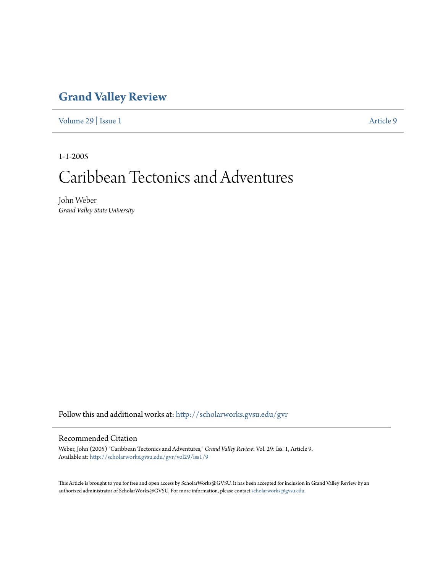### **[Grand Valley Review](http://scholarworks.gvsu.edu/gvr?utm_source=scholarworks.gvsu.edu%2Fgvr%2Fvol29%2Fiss1%2F9&utm_medium=PDF&utm_campaign=PDFCoverPages)**

[Volume 29](http://scholarworks.gvsu.edu/gvr/vol29?utm_source=scholarworks.gvsu.edu%2Fgvr%2Fvol29%2Fiss1%2F9&utm_medium=PDF&utm_campaign=PDFCoverPages) | [Issue 1](http://scholarworks.gvsu.edu/gvr/vol29/iss1?utm_source=scholarworks.gvsu.edu%2Fgvr%2Fvol29%2Fiss1%2F9&utm_medium=PDF&utm_campaign=PDFCoverPages) [Article 9](http://scholarworks.gvsu.edu/gvr/vol29/iss1/9?utm_source=scholarworks.gvsu.edu%2Fgvr%2Fvol29%2Fiss1%2F9&utm_medium=PDF&utm_campaign=PDFCoverPages)

1-1-2005

# Caribbean Tectonics and Adventures

John Weber *Grand Valley State University*

Follow this and additional works at: [http://scholarworks.gvsu.edu/gvr](http://scholarworks.gvsu.edu/gvr?utm_source=scholarworks.gvsu.edu%2Fgvr%2Fvol29%2Fiss1%2F9&utm_medium=PDF&utm_campaign=PDFCoverPages)

#### Recommended Citation

Weber, John (2005) "Caribbean Tectonics and Adventures," *Grand Valley Review*: Vol. 29: Iss. 1, Article 9. Available at: [http://scholarworks.gvsu.edu/gvr/vol29/iss1/9](http://scholarworks.gvsu.edu/gvr/vol29/iss1/9?utm_source=scholarworks.gvsu.edu%2Fgvr%2Fvol29%2Fiss1%2F9&utm_medium=PDF&utm_campaign=PDFCoverPages)

This Article is brought to you for free and open access by ScholarWorks@GVSU. It has been accepted for inclusion in Grand Valley Review by an authorized administrator of ScholarWorks@GVSU. For more information, please contact [scholarworks@gvsu.edu.](mailto:scholarworks@gvsu.edu)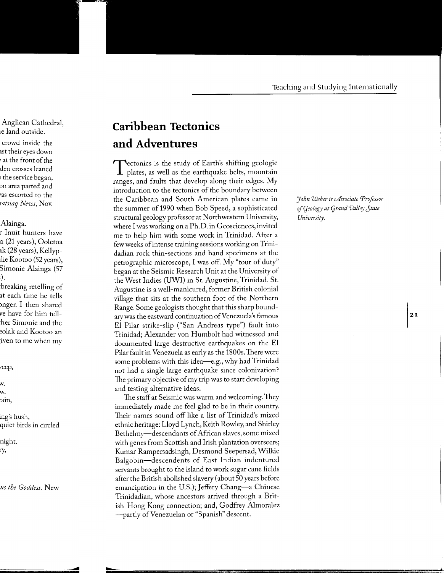## **Caribbean Tectonics and Adventures**

Tectonics is the study of Earth's shifting geologic<br>plates, as well as the earthquake belts, mountain ranges, and faults that develop along their edges. My introduction to the tectonics of the boundary between the Caribbean and South American plates came in the summer of 1990 when Bob Speed, a sophisticated structural geology professor at Northwestern University, where I was working on a Ph.D. in Geosciences, invited me to help him with some work in Trinidad. After a few weeks of intense training sessions working on Trinidadian rock thin-sections and hand specimens at the petrographic microscope, I was off. My "tour of duty" began at the Seismic Research Unit at the University of the West Indies (UWI) in St. Augustine, Trinidad. St. Augustine is a well-manicured, former British colonial village that sits at the southern foot of the Northern Range. Some geologists thought that this sharp boundary was the eastward continuation of Venezuela's famous El Pilar strike-slip ("San Andreas type") fault into Trinidad; Alexander von Humbolt had witnessed and documented large destructive earthquakes on the El Pilar fault in Venezuela as early as the 1800s.There were some problems with this idea—e.g., why had  $Triindad$ not had a single large earthquake since colonization? The primary objective of my trip was to start developing and testing alternative ideas.

The staff at Seismic was warm and welcoming. They immediately made me feel glad to be in their country. Their names sound off like a list of Trinidad's mixed ethnic heritage: Lloyd Lynch, Keith Rowley, and Shirley Bethelmy-descendants of African slaves, some mixed with genes from Scottish and Irish plantation overseers; Kumar Rampersadsingh, Desmond Seepersad, Wilkie Balgobin-descendents of East Indian indentured servants brought to the island to work sugar cane fields after the British abolished slavery (about 50 years before emancipation in the U.S.); Jeffery Chang—a Chinese Trinidadian, whose ancestors arrived through a British-Hong Kong connection; and, Godfrey Almoralez -partly of Venezuelan or "Spanish" descent.

*John Weber is cASsociate Professor ojqeology at grand Valley Jtate University.*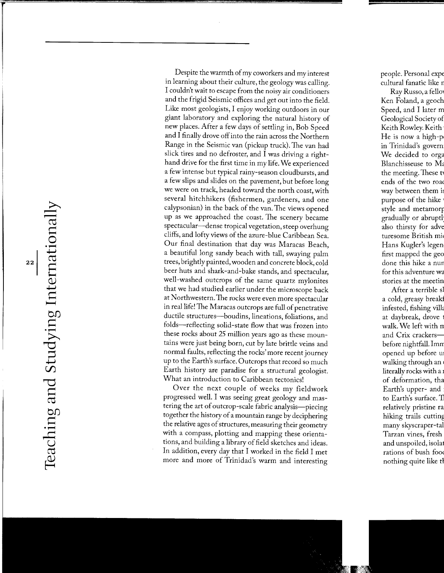Despite the warmth of my coworkers and my interest in learning about their culture, the geology was calling. I couldn't wait to escape from the noisy air conditioners and the frigid Seismic offices and get out into the field. Like most geologists, I enjoy working outdoors in our giant laboratory and exploring the natural history of new places. After a few days of settling in, Bob Speed and I finally drove off into the rain across the Northern Range in the Seismic van (pickup truck).The van had slick tires and no defroster, and I was driving a righthand drive for the first time in my life. We experienced a few intense but typical rainy-season cloudbursts, and a few slips and slides on the pavement, but before long we were on track, headed toward-the north coast, with several hitchhikers (fishermen, gardeners, and one calypsonian) in the back of the van. The views opened up as we approached the coast. The scenery became spectacular-dense tropical vegetation, steep overhung cliffs, and lofty views of the azure-blue Caribbean Sea. Our final destination that day was Maracas Beach, a beautiful long sandy beach with tall, swaying palm trees, brightly painted, wooden and concrete block, cold beer huts and shark-and-bake stands, and spectacular, well-washed outcrops of the same quartz mylonites that we had studied earlier under the microscope back at Northwestern. The rocks were even more spectacular in real life! The Maracas outcrops are full of penetrative ductile structures-boudins, lineations, foliations, and folds-reflecting solid-state flow that was frozen into these rocks about 25 million years ago as these mountains were just being born, cut by late brittle veins and normal faults, reflecting the rocks' more recent journey up to the Earth's surface. Outcrops that record so much Earth history are paradise for a structural geologist. What an introduction to Caribbean tectonics!

Over the next couple of weeks my fieldwork progressed well. I was seeing great geology and mastering the art of outcrop-scale fabric analysis-piecing together the history of a mountain range by deciphering the relative ages of structures, measuring their geometry with a compass, plotting and mapping these orientations, and building a library of field sketches and ideas. In addition, every day that I worked in the field I met more and more of Trinidad's warm and interesting

### $\exists$  $\mathfrak{p}$ ~  $\bigcirc$ : $\Box$  $_{22}$  d  $\Xi^-$ *Q)*  .j.....J  $H_{\perp}$ bJ)  $\dot{H}$  $\blacktriangleright$ *r-c)*   $\operatorname{SU}_2$ *r-c)*  —  $\mathfrak{p}$ bJ)  $\Xi$  .  $\Gamma_{\rm L}$  $\tilde{\mathcal{L}}$  $\vdash$

 $\blacktriangleright$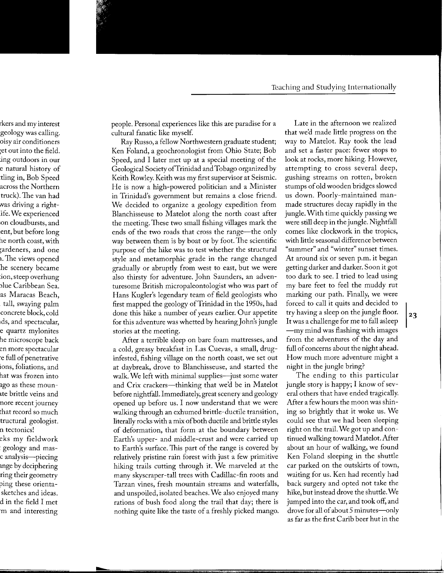people. Personal experiences like this are paradise for a cultural fanatic like myself.

Ray Russo, a fellow Northwestern graduate student; Ken Foland, a geochronologist from Ohio State; Bob Speed, and I later met up at a special meeting of the Geological SocietyofTrinidad and Tobago organized by Keith Rowley. Keith was my first supervisor at Seismic. He is now a high-powered politician and a Minister in Trinidad's government but remains a close friend. We decided to organize a geology expedition from Blanchisseuse to Matelot along the north coast after the meeting.These two small fishing villages mark the ends of the two roads that cross the range-the only way between them is by boat or by foot. The scientific purpose of the hike was to test whether the structural style and metamorphic grade in the range changed gradually or abruptly from west to east, but we were also thirsty for adventure. John Saunders, an adventuresome British micropaleontologist who was part of Hans Kugler's legendary team of field geologists who first mapped the geology of Trinidad in the 1950s, had done this hike a number of years earlier. Our appetite for this adventure was whetted by hearing John's jungle stories at the meeting.

After a terrible sleep on bare foam mattresses, and a cold, greasy breakfast in Las Cuevas, a small, druginfested, fishing village on the north coast, we set out at daybreak, drove to Blanchisseuse, and started the walk. We left with minimal supplies-just some water and Crix crackers-thinking that we'd be in Matelot before nightfall. Immediately, great scenery and geology opened up before us. I now understand that we were walking through an exhumed brittle-ductile transition, literally rocks with a mix of both ductile and brittle styles of deformation, that form at the boundary between Earth's upper- and middle-crust and were carried up to Earth's surface. This part of the range is covered by relatively pristine rain forest with just a few primitive hiking trails cutting through it. We marveled at the many skyscraper-tall trees with Cadillac-fin roots and Tarzan vines, fresh mountain streams and waterfalls, and unspoiled, isolated beaches. We also enjoyed many rations of bush food along the trail that day; there is nothing quite like the taste of a freshly picked mango.

Late in the afternoon we realized that we'd made little progress on the way to Matelot. Ray took the lead and set a faster pace: fewer stops to look at rocks, more hiking. However, attempting to cross several deep, gushing streams on rotten, broken stumps of old wooden bridges slowed us down. Poorly-maintained manmade structures decay rapidly in the jungle. With time quickly passing we were still deep in the jungle. Nightfall comes like clockwork in the tropics, with little seasonal difference between "summer" and "winter" sunset times. At around six or seven p.m. it began getting darker and darker. Soon it got too dark to see. I tried to lead using my bare feet to feel the muddy rut marking our path. Finally, we were forced to call it quits and decided to try having a sleep on the jungle floor. It was a challenge for me to fall asleep -my mind was flashing with images from the adventures of the day and full of concerns about the night ahead. How much more adventure might a night in the jungle bring?

The ending to this particular jungle story is happy; I know of several others that have ended tragically. Mter a few hours the moon was shining so brightly that it woke us. We could see that we had been sleeping right on the trail. We got up and continued walking toward Matelot. After about an hour of walking, we found Ken Foland sleeping in the shuttle car parked on the outskirts of town, waiting for us. Ken had recently had back surgery and opted not take the hike, but instead drove the shuttle. We jumped into the car, and took off, and drove for all of about 5 minutes-only as far as the first Carib beer hut in the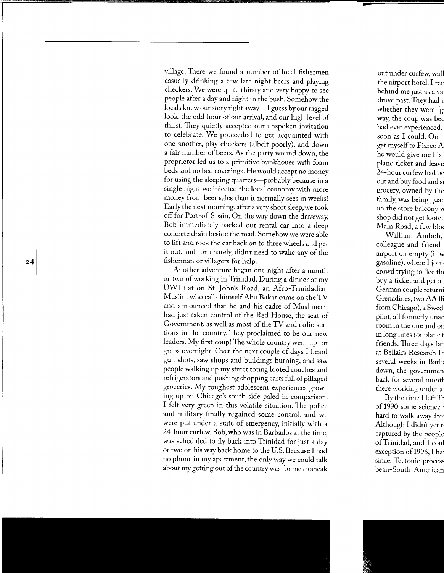village. There we found a number of local fishermen casually drinking a few late night beers and playing checkers. We were quite thirsty and very happy to see people after a day and night in the bush. Somehow the locals knew our story right away—I guess by our ragged look, the odd hour of our arrival, and our high level of thirst. They quietly accepted our unspoken invitation to celebrate. We proceeded to get acquainted with one another, play checkers (albeit poorly), and down a fair number of beers. As the party wound down, the proprietor led us to a primitive bunkhouse with foam beds and no bed coverings. He would accept no money for using the sleeping quarters-probably because in a single night we injected the local economy with more money from beer sales than it normally sees in weeks! Early the next morning, after a very short sleep, we took off for Port-of-Spain. On the way down the driveway, Bob immediately backed our rental car into a deep concrete drain beside the road. Somehow we were able to lift and rock the car back on to three wheels and get it out, and fortunately, didn't need to wake any of the fisherman or villagers for help.

Another adventure began one night after a month or two of working in Trinidad. During a dinner at my UWI flat on St. John's Road, an Afro-Trinidadian Muslim who calls himself Abu Bakar came on the TV and announced that he and his cadre of Muslimeen had just taken control of the Red House, the seat of Government, as well as most of the TV and radio stations in the country. They proclaimed to be our new leaders. My first coup! The whole country went up for grabs overnight. Over the next couple of days I heard gun shots, saw shops and buildings burning, and saw people walking up my street toting looted couches and refrigerators and pushing shopping carts full of pillaged groceries. My toughest adolescent experiences growing up on Chicago's south side paled in comparison. I felt very green in this volatile situation. The police and military finally regained some control, and we were put under a state of emergency, initially with a 24-hour curfew. Bob, who was in Barbados at the time, was scheduled to fly back into Trinidad for just a day or two on his way back home to the U.S. Because I had no phone in my apartment, the only way we could talk about my getting out of the country was for me to sneak